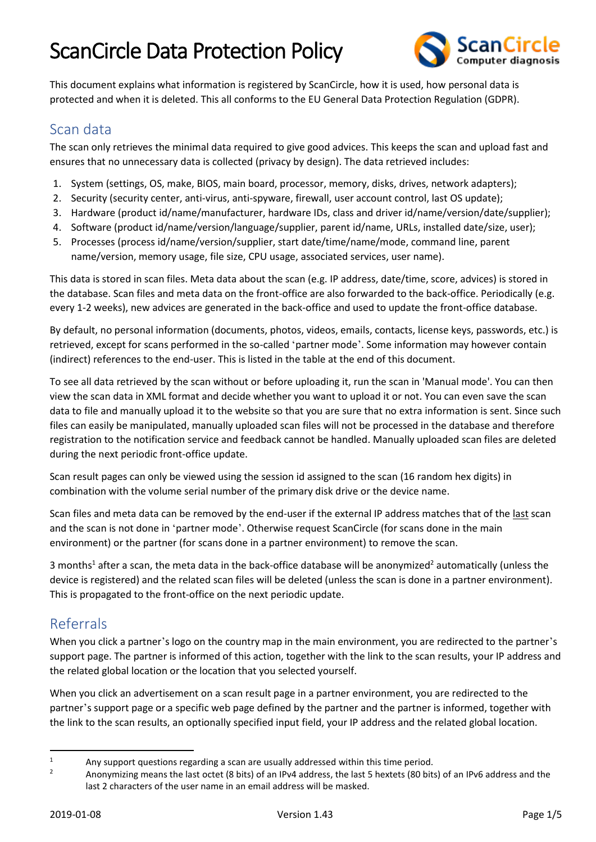<span id="page-0-0"></span>

This document explains what information is registered by ScanCircle, how it is used, how personal data is protected and when it is deleted. This all conforms to the EU General Data Protection Regulation (GDPR).

#### Scan data

The scan only retrieves the minimal data required to give good advices. This keeps the scan and upload fast and ensures that no unnecessary data is collected (privacy by design). The data retrieved includes:

- 1. System (settings, OS, make, BIOS, main board, processor, memory, disks, drives, network adapters);
- 2. Security (security center, anti-virus, anti-spyware, firewall, user account control, last OS update);
- 3. Hardware (product id/name/manufacturer, hardware IDs, class and driver id/name/version/date/supplier);
- 4. Software (product id/name/version/language/supplier, parent id/name, URLs, installed date/size, user);
- 5. Processes (process id/name/version/supplier, start date/time/name/mode, command line, parent name/version, memory usage, file size, CPU usage, associated services, user name).

This data is stored in scan files. Meta data about the scan (e.g. IP address, date/time, score, advices) is stored in the database. Scan files and meta data on the front-office are also forwarded to the back-office. Periodically (e.g. every 1-2 weeks), new advices are generated in the back-office and used to update the front-office database.

By default, no personal information (documents, photos, videos, emails, contacts, license keys, passwords, etc.) is retrieved, except for scans performed in the so-called 'partner mode'. Some information may however contain (indirect) references to the end-user. This is listed in the table at the end of this document.

To see all data retrieved by the scan without or before uploading it, run the scan in 'Manual mode'. You can then view the scan data in XML format and decide whether you want to upload it or not. You can even save the scan data to file and manually upload it to the website so that you are sure that no extra information is sent. Since such files can easily be manipulated, manually uploaded scan files will not be processed in the database and therefore registration to the notification service and feedback cannot be handled. Manually uploaded scan files are deleted during the next periodic front-office update.

Scan result pages can only be viewed using the session id assigned to the scan (16 random hex digits) in combination with the volume serial number of the primary disk drive or the device name.

Scan files and meta data can be removed by the end-user if the external IP address matches that of the last scan and the scan is not done in 'partner mode'. Otherwise request ScanCircle (for scans done in the main environment) or the partner (for scans done in a partner environment) to remove the scan.

3 months<sup>1</sup> after a scan, the meta data in the back-office database will be anonymized<sup>2</sup> automatically (unless the device is registered) and the related scan files will be deleted (unless the scan is done in a partner environment). This is propagated to the front-office on the next periodic update.

### Referrals

When you click a partner's logo on the country map in the main environment, you are redirected to the partner's support page. The partner is informed of this action, together with the link to the scan results, your IP address and the related global location or the location that you selected yourself.

When you click an advertisement on a scan result page in a partner environment, you are redirected to the partner's support page or a specific web page defined by the partner and the partner is informed, together with the link to the scan results, an optionally specified input field, your IP address and the related global location.

 $\overline{a}$ 

<sup>&</sup>lt;sup>1</sup> Any support questions regarding a scan are usually addressed within this time period.

<sup>2</sup> Anonymizing means the last octet (8 bits) of an IPv4 address, the last 5 hextets (80 bits) of an IPv6 address and the last 2 characters of the user name in an email address will be masked.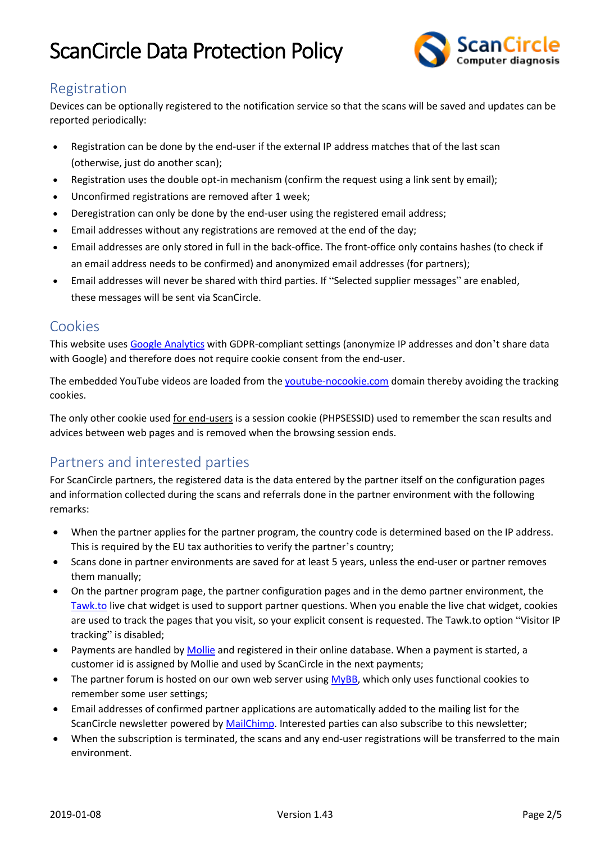

### Registration

Devices can be optionally registered to the notification service so that the scans will be saved and updates can be reported periodically:

- Registration can be done by the end-user if the external IP address matches that of the last scan (otherwise, just do another scan);
- Registration uses the double opt-in mechanism (confirm the request using a link sent by email);
- Unconfirmed registrations are removed after 1 week;
- Deregistration can only be done by the end-user using the registered email address;
- Email addresses without any registrations are removed at the end of the day;
- Email addresses are only stored in full in the back-office. The front-office only contains hashes (to check if an email address needs to be confirmed) and anonymized email addresses (for partners);
- Email addresses will never be shared with third parties. If "Selected supplier messages" are enabled, these messages will be sent via ScanCircle.

#### Cookies

This website uses [Google Analytics](https://analytics.google.com/) with GDPR-compliant settings (anonymize IP addresses and don't share data with Google) and therefore does not require cookie consent from the end-user.

The embedded YouTube videos are loaded from [the youtube-nocookie.com](https://www.youtube-nocookie.com/) domain thereby avoiding the tracking cookies.

The only other cookie used for end-users is a session cookie (PHPSESSID) used to remember the scan results and advices between web pages and is removed when the browsing session ends.

### Partners and interested parties

For ScanCircle partners, the registered data is the data entered by the partner itself on the configuration pages and information collected during the scans and referrals done in the partner environment with the following remarks:

- When the partner applies for the partner program, the country code is determined based on the IP address. This is required by the EU tax authorities to verify the partner's country;
- Scans done in partner environments are saved for at least 5 years, unless the end-user or partner removes them manually;
- On the partner program page, the partner configuration pages and in the demo partner environment, the [Tawk.to](https://tawk.to/) live chat widget is used to support partner questions. When you enable the live chat widget, cookies are used to track the pages that you visit, so your explicit consent is requested. The Tawk.to option "Visitor IP tracking" is disabled;
- Payments are handled b[y Mollie](https://www.mollie.com/) and registered in their online database. When a payment is started, a customer id is assigned by Mollie and used by ScanCircle in the next payments;
- The partner forum is hosted on our own web server using [MyBB,](https://www.mybb.com/) which only uses functional cookies to remember some user settings;
- Email addresses of confirmed partner applications are automatically added to the mailing list for the ScanCircle newsletter powered b[y MailChimp.](https://www.mailchimp.com/) Interested parties can also subscribe to this newsletter;
- When the subscription is terminated, the scans and any end-user registrations will be transferred to the main environment.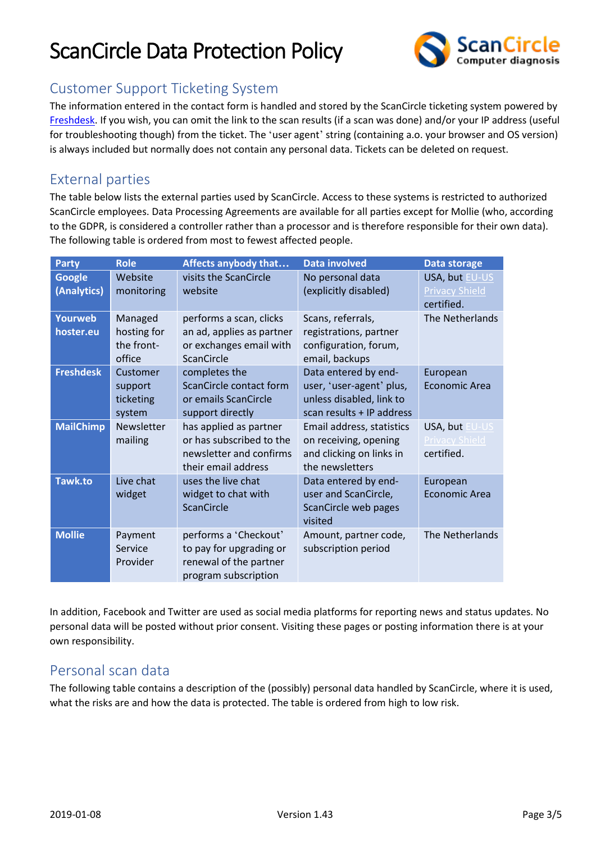

### Customer Support Ticketing System

The information entered in the contact form is handled and stored by the ScanCircle ticketing system powered by [Freshdesk.](https://freshdesk.com/) If you wish, you can omit the link to the scan results (if a scan was done) and/or your IP address (useful for troubleshooting though) from the ticket. The 'user agent' string (containing a.o. your browser and OS version) is always included but normally does not contain any personal data. Tickets can be deleted on request.

### External parties

The table below lists the external parties used by ScanCircle. Access to these systems is restricted to authorized ScanCircle employees. Data Processing Agreements are available for all parties except for Mollie (who, according to the GDPR, is considered a controller rather than a processor and is therefore responsible for their own data). The following table is ordered from most to fewest affected people.

| <b>Party</b>                 | <b>Role</b>                                    | Affects anybody that                                                                                 | <b>Data involved</b>                                                                                      | Data storage                                          |
|------------------------------|------------------------------------------------|------------------------------------------------------------------------------------------------------|-----------------------------------------------------------------------------------------------------------|-------------------------------------------------------|
| <b>Google</b><br>(Analytics) | Website<br>monitoring                          | visits the ScanCircle<br>website                                                                     | No personal data<br>(explicitly disabled)                                                                 | USA, but EU-US<br><b>Privacy Shield</b><br>certified. |
| Yourweb<br>hoster.eu         | Managed<br>hosting for<br>the front-<br>office | performs a scan, clicks<br>an ad, applies as partner<br>or exchanges email with<br><b>ScanCircle</b> | Scans, referrals,<br>registrations, partner<br>configuration, forum,<br>email, backups                    | The Netherlands                                       |
| <b>Freshdesk</b>             | Customer<br>support<br>ticketing<br>system     | completes the<br>ScanCircle contact form<br>or emails ScanCircle<br>support directly                 | Data entered by end-<br>user, 'user-agent' plus,<br>unless disabled, link to<br>scan results + IP address | European<br><b>Economic Area</b>                      |
| <b>MailChimp</b>             | <b>Newsletter</b><br>mailing                   | has applied as partner<br>or has subscribed to the<br>newsletter and confirms<br>their email address | Email address, statistics<br>on receiving, opening<br>and clicking on links in<br>the newsletters         | USA, but EU-US<br>Privacy Shield<br>certified.        |
| <b>Tawk.to</b>               | Live chat<br>widget                            | uses the live chat<br>widget to chat with<br>ScanCircle                                              | Data entered by end-<br>user and ScanCircle,<br>ScanCircle web pages<br>visited                           | European<br><b>Economic Area</b>                      |
| <b>Mollie</b>                | Payment<br>Service<br>Provider                 | performs a 'Checkout'<br>to pay for upgrading or<br>renewal of the partner<br>program subscription   | Amount, partner code,<br>subscription period                                                              | The Netherlands                                       |

In addition, Facebook and Twitter are used as social media platforms for reporting news and status updates. No personal data will be posted without prior consent. Visiting these pages or posting information there is at your own responsibility.

### Personal scan data

The following table contains a description of the (possibly) personal data handled by ScanCircle, where it is used, what the risks are and how the data is protected. The table is ordered from high to low risk.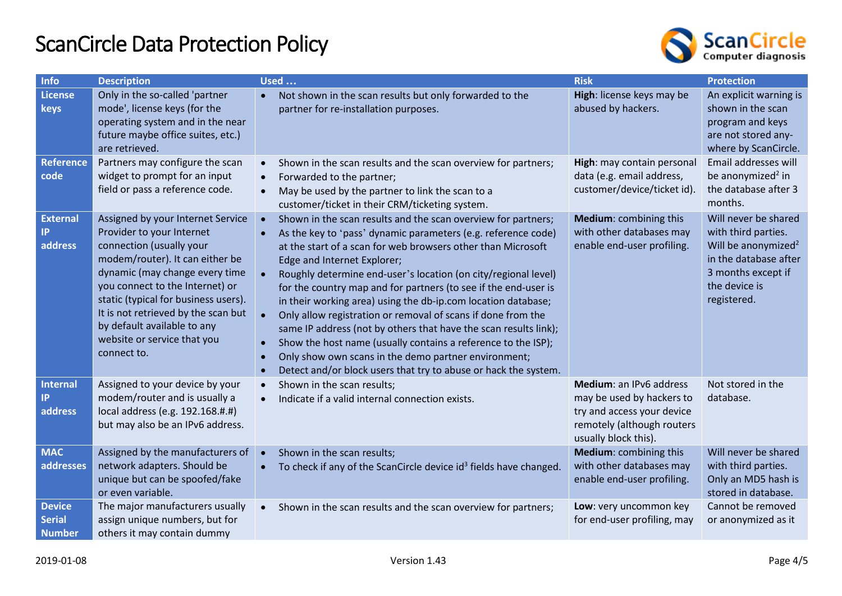

| <b>Info</b>                                     | <b>Description</b>                                                                                                                                                                                                                                                                                                                                             | <b>Used </b>                                                                                                                                                                                                                                                                                                                                                                                                                                                                                                                                                                                                                                                                                                                                                                                                                                                   | <b>Risk</b>                                                                                                                              | <b>Protection</b>                                                                                                                                             |
|-------------------------------------------------|----------------------------------------------------------------------------------------------------------------------------------------------------------------------------------------------------------------------------------------------------------------------------------------------------------------------------------------------------------------|----------------------------------------------------------------------------------------------------------------------------------------------------------------------------------------------------------------------------------------------------------------------------------------------------------------------------------------------------------------------------------------------------------------------------------------------------------------------------------------------------------------------------------------------------------------------------------------------------------------------------------------------------------------------------------------------------------------------------------------------------------------------------------------------------------------------------------------------------------------|------------------------------------------------------------------------------------------------------------------------------------------|---------------------------------------------------------------------------------------------------------------------------------------------------------------|
| <b>License</b><br>keys                          | Only in the so-called 'partner<br>mode', license keys (for the<br>operating system and in the near<br>future maybe office suites, etc.)<br>are retrieved.                                                                                                                                                                                                      | Not shown in the scan results but only forwarded to the<br>$\bullet$<br>partner for re-installation purposes.                                                                                                                                                                                                                                                                                                                                                                                                                                                                                                                                                                                                                                                                                                                                                  | High: license keys may be<br>abused by hackers.                                                                                          | An explicit warning is<br>shown in the scan<br>program and keys<br>are not stored any-<br>where by ScanCircle.                                                |
| <b>Reference</b><br>code                        | Partners may configure the scan<br>widget to prompt for an input<br>field or pass a reference code.                                                                                                                                                                                                                                                            | Shown in the scan results and the scan overview for partners;<br>$\bullet$<br>Forwarded to the partner;<br>$\bullet$<br>May be used by the partner to link the scan to a<br>$\bullet$<br>customer/ticket in their CRM/ticketing system.                                                                                                                                                                                                                                                                                                                                                                                                                                                                                                                                                                                                                        | High: may contain personal<br>data (e.g. email address,<br>customer/device/ticket id).                                                   | Email addresses will<br>be anonymized <sup>2</sup> in<br>the database after 3<br>months.                                                                      |
| <b>External</b><br>IP.<br>address               | Assigned by your Internet Service<br>Provider to your Internet<br>connection (usually your<br>modem/router). It can either be<br>dynamic (may change every time<br>you connect to the Internet) or<br>static (typical for business users).<br>It is not retrieved by the scan but<br>by default available to any<br>website or service that you<br>connect to. | Shown in the scan results and the scan overview for partners;<br>$\bullet$<br>As the key to 'pass' dynamic parameters (e.g. reference code)<br>$\bullet$<br>at the start of a scan for web browsers other than Microsoft<br>Edge and Internet Explorer;<br>Roughly determine end-user's location (on city/regional level)<br>$\bullet$<br>for the country map and for partners (to see if the end-user is<br>in their working area) using the db-ip.com location database;<br>Only allow registration or removal of scans if done from the<br>$\bullet$<br>same IP address (not by others that have the scan results link);<br>Show the host name (usually contains a reference to the ISP);<br>$\bullet$<br>Only show own scans in the demo partner environment;<br>$\bullet$<br>Detect and/or block users that try to abuse or hack the system.<br>$\bullet$ | Medium: combining this<br>with other databases may<br>enable end-user profiling.                                                         | Will never be shared<br>with third parties.<br>Will be anonymized <sup>2</sup><br>in the database after<br>3 months except if<br>the device is<br>registered. |
| <b>Internal</b><br>IP<br>address                | Assigned to your device by your<br>modem/router and is usually a<br>local address (e.g. 192.168.#.#)<br>but may also be an IPv6 address.                                                                                                                                                                                                                       | Shown in the scan results;<br>$\bullet$<br>Indicate if a valid internal connection exists.<br>$\bullet$                                                                                                                                                                                                                                                                                                                                                                                                                                                                                                                                                                                                                                                                                                                                                        | Medium: an IPv6 address<br>may be used by hackers to<br>try and access your device<br>remotely (although routers<br>usually block this). | Not stored in the<br>database.                                                                                                                                |
| <b>MAC</b><br>addresses                         | Assigned by the manufacturers of<br>network adapters. Should be<br>unique but can be spoofed/fake<br>or even variable.                                                                                                                                                                                                                                         | Shown in the scan results;<br>$\bullet$<br>To check if any of the ScanCircle device id <sup>3</sup> fields have changed.<br>$\bullet$                                                                                                                                                                                                                                                                                                                                                                                                                                                                                                                                                                                                                                                                                                                          | Medium: combining this<br>with other databases may<br>enable end-user profiling.                                                         | Will never be shared<br>with third parties.<br>Only an MD5 hash is<br>stored in database.                                                                     |
| <b>Device</b><br><b>Serial</b><br><b>Number</b> | The major manufacturers usually<br>assign unique numbers, but for<br>others it may contain dummy                                                                                                                                                                                                                                                               | Shown in the scan results and the scan overview for partners;<br>$\bullet$                                                                                                                                                                                                                                                                                                                                                                                                                                                                                                                                                                                                                                                                                                                                                                                     | Low: very uncommon key<br>for end-user profiling, may                                                                                    | Cannot be removed<br>or anonymized as it                                                                                                                      |